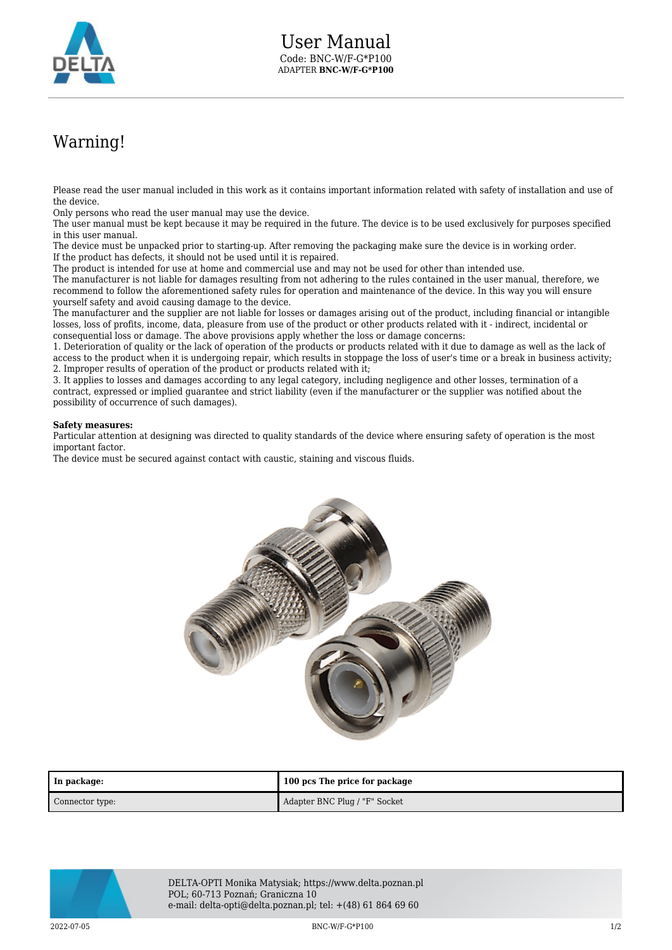

## Warning!

Please read the user manual included in this work as it contains important information related with safety of installation and use of the device.

Only persons who read the user manual may use the device.

The user manual must be kept because it may be required in the future. The device is to be used exclusively for purposes specified in this user manual.

The device must be unpacked prior to starting-up. After removing the packaging make sure the device is in working order. If the product has defects, it should not be used until it is repaired.

The product is intended for use at home and commercial use and may not be used for other than intended use.

The manufacturer is not liable for damages resulting from not adhering to the rules contained in the user manual, therefore, we recommend to follow the aforementioned safety rules for operation and maintenance of the device. In this way you will ensure yourself safety and avoid causing damage to the device.

The manufacturer and the supplier are not liable for losses or damages arising out of the product, including financial or intangible losses, loss of profits, income, data, pleasure from use of the product or other products related with it - indirect, incidental or consequential loss or damage. The above provisions apply whether the loss or damage concerns:

1. Deterioration of quality or the lack of operation of the products or products related with it due to damage as well as the lack of access to the product when it is undergoing repair, which results in stoppage the loss of user's time or a break in business activity; 2. Improper results of operation of the product or products related with it;

3. It applies to losses and damages according to any legal category, including negligence and other losses, termination of a contract, expressed or implied guarantee and strict liability (even if the manufacturer or the supplier was notified about the possibility of occurrence of such damages).

## **Safety measures:**

Particular attention at designing was directed to quality standards of the device where ensuring safety of operation is the most important factor.

The device must be secured against contact with caustic, staining and viscous fluids.



| In package:     | 100 pcs The price for package |
|-----------------|-------------------------------|
| Connector type: | Adapter BNC Plug / "F" Socket |



DELTA-OPTI Monika Matysiak; https://www.delta.poznan.pl POL; 60-713 Poznań; Graniczna 10 e-mail: delta-opti@delta.poznan.pl; tel: +(48) 61 864 69 60